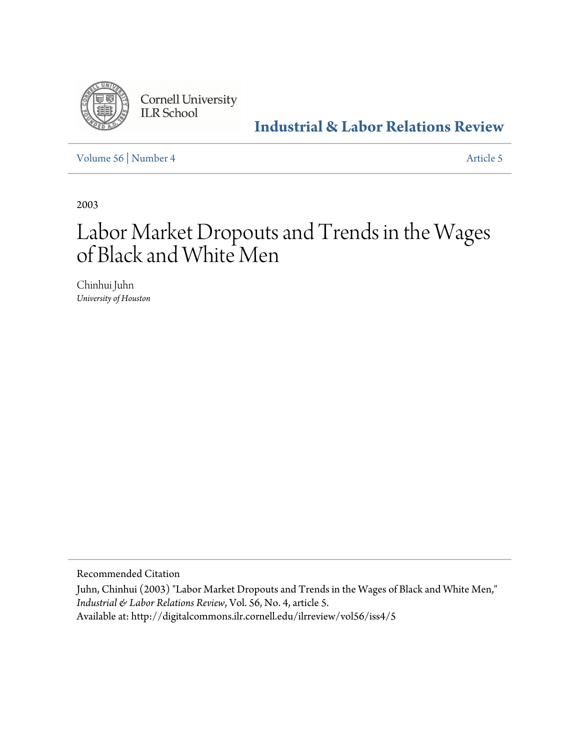

**Cornell University ILR School** 

**[Industrial & Labor Relations Review](http://digitalcommons.ilr.cornell.edu/ilrreview)**

[Volume 56](http://digitalcommons.ilr.cornell.edu/ilrreview/vol56) | [Number 4](http://digitalcommons.ilr.cornell.edu/ilrreview/vol56/iss4) [Article 5](http://digitalcommons.ilr.cornell.edu/ilrreview/vol56/iss4/5)

2003

# Labor Market Dropouts and Trends in the Wages of Black and White Men

Chinhui Juhn *University of Houston*

Recommended Citation

Juhn, Chinhui (2003) "Labor Market Dropouts and Trends in the Wages of Black and White Men," *Industrial & Labor Relations Review*, Vol. 56, No. 4, article 5.

Available at: http://digitalcommons.ilr.cornell.edu/ilrreview/vol56/iss4/5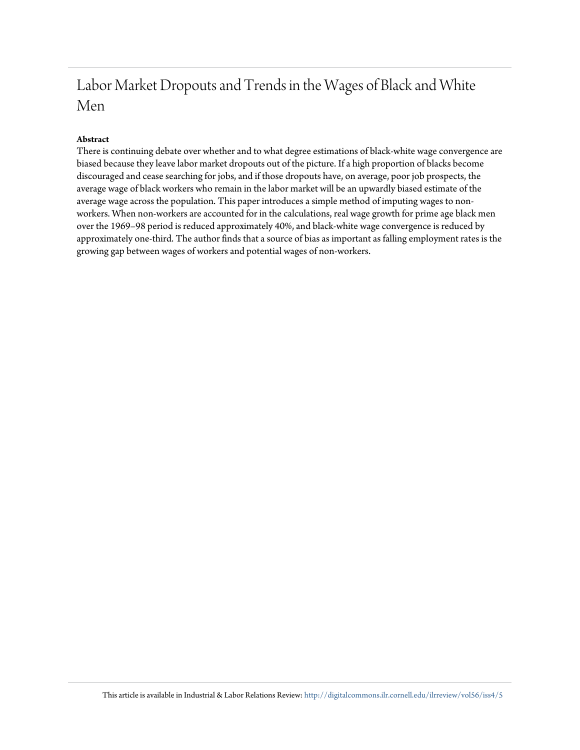## Labor Market Dropouts and Trends in the Wages of Black and White Men

#### **Abstract**

There is continuing debate over whether and to what degree estimations of black-white wage convergence are biased because they leave labor market dropouts out of the picture. If a high proportion of blacks become discouraged and cease searching for jobs, and if those dropouts have, on average, poor job prospects, the average wage of black workers who remain in the labor market will be an upwardly biased estimate of the average wage across the population. This paper introduces a simple method of imputing wages to nonworkers. When non-workers are accounted for in the calculations, real wage growth for prime age black men over the 1969–98 period is reduced approximately 40%, and black-white wage convergence is reduced by approximately one-third. The author finds that a source of bias as important as falling employment rates is the growing gap between wages of workers and potential wages of non-workers.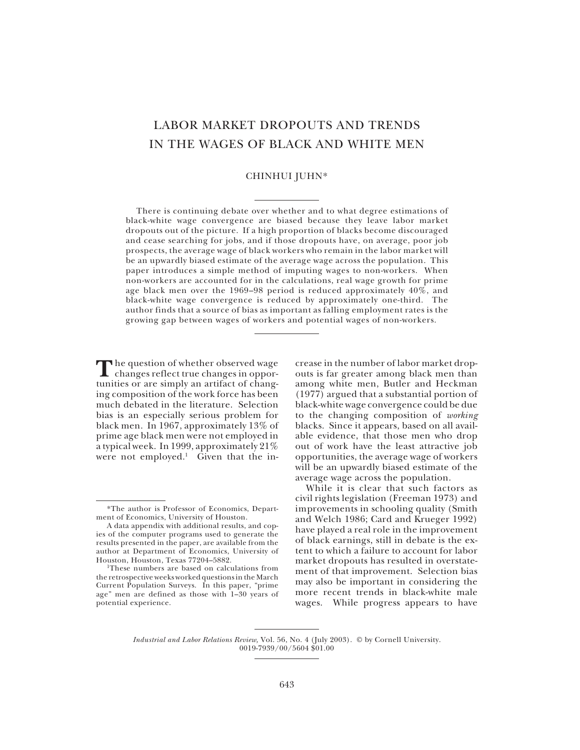### LABOR MARKET DROPOUTS AND TRENDS IN THE WAGES OF BLACK AND WHITE MEN

#### CHINHUI JUHN\*

There is continuing debate over whether and to what degree estimations of black-white wage convergence are biased because they leave labor market dropouts out of the picture. If a high proportion of blacks become discouraged and cease searching for jobs, and if those dropouts have, on average, poor job prospects, the average wage of black workers who remain in the labor market will be an upwardly biased estimate of the average wage across the population. This paper introduces a simple method of imputing wages to non-workers. When non-workers are accounted for in the calculations, real wage growth for prime age black men over the 1969–98 period is reduced approximately 40%, and black-white wage convergence is reduced by approximately one-third. The author finds that a source of bias as important as falling employment rates is the growing gap between wages of workers and potential wages of non-workers.

The question of whether observed wage<br>
changes reflect true changes in opporhe question of whether observed wage tunities or are simply an artifact of changing composition of the work force has been much debated in the literature. Selection bias is an especially serious problem for black men. In 1967, approximately 13% of prime age black men were not employed in a typical week. In 1999, approximately 21% were not employed.<sup>1</sup> Given that the increase in the number of labor market dropouts is far greater among black men than among white men, Butler and Heckman (1977) argued that a substantial portion of black-white wage convergence could be due to the changing composition of *working* blacks. Since it appears, based on all available evidence, that those men who drop out of work have the least attractive job opportunities, the average wage of workers will be an upwardly biased estimate of the average wage across the population.

While it is clear that such factors as civil rights legislation (Freeman 1973) and improvements in schooling quality (Smith and Welch 1986; Card and Krueger 1992) have played a real role in the improvement of black earnings, still in debate is the extent to which a failure to account for labor market dropouts has resulted in overstatement of that improvement. Selection bias may also be important in considering the more recent trends in black-white male wages. While progress appears to have

*Industrial and Labor Relations Review,* Vol. 56, No. 4 (July 2003). © by Cornell University. 0019-7939/00/5604 \$01.00

<sup>\*</sup>The author is Professor of Economics, Department of Economics, University of Houston.

A data appendix with additional results, and copies of the computer programs used to generate the results presented in the paper, are available from the author at Department of Economics, University of Houston, Houston, Texas 77204–5882.

<sup>1</sup>These numbers are based on calculations from the retrospective weeks worked questions in the March Current Population Surveys. In this paper, "prime age" men are defined as those with 1–30 years of potential experience.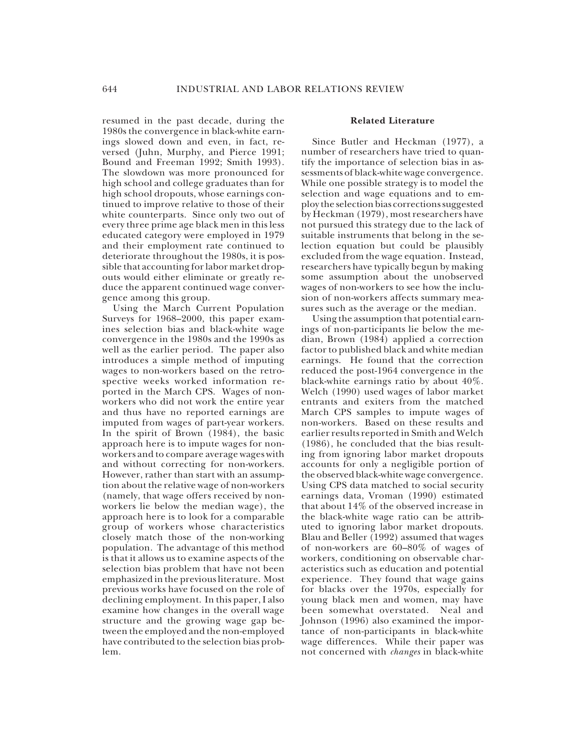resumed in the past decade, during the 1980s the convergence in black-white earnings slowed down and even, in fact, reversed (Juhn, Murphy, and Pierce 1991; Bound and Freeman 1992; Smith 1993). The slowdown was more pronounced for high school and college graduates than for high school dropouts, whose earnings continued to improve relative to those of their white counterparts. Since only two out of every three prime age black men in this less educated category were employed in 1979 and their employment rate continued to deteriorate throughout the 1980s, it is possible that accounting for labor market dropouts would either eliminate or greatly reduce the apparent continued wage convergence among this group.

Using the March Current Population Surveys for 1968–2000, this paper examines selection bias and black-white wage convergence in the 1980s and the 1990s as well as the earlier period. The paper also introduces a simple method of imputing wages to non-workers based on the retrospective weeks worked information reported in the March CPS. Wages of nonworkers who did not work the entire year and thus have no reported earnings are imputed from wages of part-year workers. In the spirit of Brown (1984), the basic approach here is to impute wages for nonworkers and to compare average wages with and without correcting for non-workers. However, rather than start with an assumption about the relative wage of non-workers (namely, that wage offers received by nonworkers lie below the median wage), the approach here is to look for a comparable group of workers whose characteristics closely match those of the non-working population. The advantage of this method is that it allows us to examine aspects of the selection bias problem that have not been emphasized in the previous literature. Most previous works have focused on the role of declining employment. In this paper, I also examine how changes in the overall wage structure and the growing wage gap between the employed and the non-employed have contributed to the selection bias problem.

#### **Related Literature**

Since Butler and Heckman (1977), a number of researchers have tried to quantify the importance of selection bias in assessments of black-white wage convergence. While one possible strategy is to model the selection and wage equations and to employ the selection bias corrections suggested by Heckman (1979), most researchers have not pursued this strategy due to the lack of suitable instruments that belong in the selection equation but could be plausibly excluded from the wage equation. Instead, researchers have typically begun by making some assumption about the unobserved wages of non-workers to see how the inclusion of non-workers affects summary measures such as the average or the median.

Using the assumption that potential earnings of non-participants lie below the median, Brown (1984) applied a correction factor to published black and white median earnings. He found that the correction reduced the post-1964 convergence in the black-white earnings ratio by about 40%. Welch (1990) used wages of labor market entrants and exiters from the matched March CPS samples to impute wages of non-workers. Based on these results and earlier results reported in Smith and Welch (1986), he concluded that the bias resulting from ignoring labor market dropouts accounts for only a negligible portion of the observed black-white wage convergence. Using CPS data matched to social security earnings data, Vroman (1990) estimated that about 14% of the observed increase in the black-white wage ratio can be attributed to ignoring labor market dropouts. Blau and Beller (1992) assumed that wages of non-workers are 60–80% of wages of workers, conditioning on observable characteristics such as education and potential experience. They found that wage gains for blacks over the 1970s, especially for young black men and women, may have been somewhat overstated. Neal and Johnson (1996) also examined the importance of non-participants in black-white wage differences. While their paper was not concerned with *changes* in black-white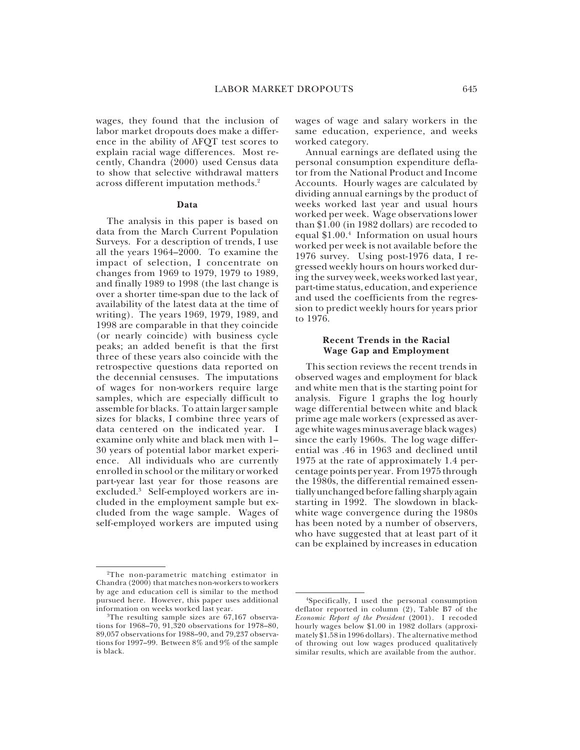wages, they found that the inclusion of labor market dropouts does make a difference in the ability of AFQT test scores to explain racial wage differences. Most recently, Chandra (2000) used Census data to show that selective withdrawal matters across different imputation methods.2

#### **Data**

The analysis in this paper is based on data from the March Current Population Surveys. For a description of trends, I use all the years 1964–2000. To examine the impact of selection, I concentrate on changes from 1969 to 1979, 1979 to 1989, and finally 1989 to 1998 (the last change is over a shorter time-span due to the lack of availability of the latest data at the time of writing). The years 1969, 1979, 1989, and 1998 are comparable in that they coincide (or nearly coincide) with business cycle peaks; an added benefit is that the first three of these years also coincide with the retrospective questions data reported on the decennial censuses. The imputations of wages for non-workers require large samples, which are especially difficult to assemble for blacks. To attain larger sample sizes for blacks, I combine three years of data centered on the indicated year. I examine only white and black men with 1– 30 years of potential labor market experience. All individuals who are currently enrolled in school or the military or worked part-year last year for those reasons are excluded.3 Self-employed workers are included in the employment sample but excluded from the wage sample. Wages of self-employed workers are imputed using wages of wage and salary workers in the same education, experience, and weeks worked category.

Annual earnings are deflated using the personal consumption expenditure deflator from the National Product and Income Accounts. Hourly wages are calculated by dividing annual earnings by the product of weeks worked last year and usual hours worked per week. Wage observations lower than \$1.00 (in 1982 dollars) are recoded to equal \$1.00.4 Information on usual hours worked per week is not available before the 1976 survey. Using post-1976 data, I regressed weekly hours on hours worked during the survey week, weeks worked last year, part-time status, education, and experience and used the coefficients from the regression to predict weekly hours for years prior to 1976.

#### **Recent Trends in the Racial Wage Gap and Employment**

This section reviews the recent trends in observed wages and employment for black and white men that is the starting point for analysis. Figure 1 graphs the log hourly wage differential between white and black prime age male workers (expressed as average white wages minus average black wages) since the early 1960s. The log wage differential was .46 in 1963 and declined until 1975 at the rate of approximately 1.4 percentage points per year. From 1975 through the  $1\overline{9}80s$ , the differential remained essentially unchanged before falling sharply again starting in 1992. The slowdown in blackwhite wage convergence during the 1980s has been noted by a number of observers, who have suggested that at least part of it can be explained by increases in education

<sup>2</sup>The non-parametric matching estimator in Chandra (2000) that matches non-workers to workers by age and education cell is similar to the method pursued here. However, this paper uses additional information on weeks worked last year.

<sup>3</sup>The resulting sample sizes are 67,167 observations for 1968–70, 91,320 observations for 1978–80, 89,057 observations for 1988–90, and 79,237 observations for 1997–99. Between 8% and 9% of the sample is black.

<sup>4</sup>Specifically, I used the personal consumption deflator reported in column (2), Table B7 of the *Economic Report of the President* (2001). I recoded hourly wages below \$1.00 in 1982 dollars (approximately \$1.58 in 1996 dollars). The alternative method of throwing out low wages produced qualitatively similar results, which are available from the author.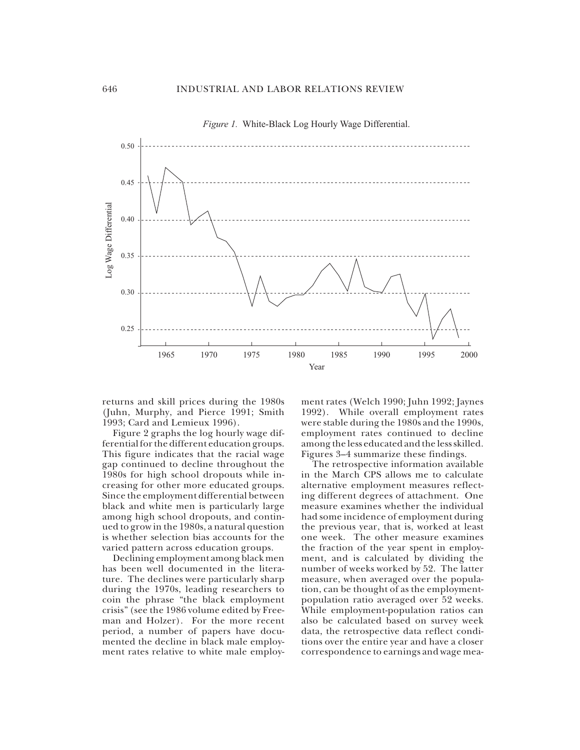

*Figure 1.* White-Black Log Hourly Wage Differential.

returns and skill prices during the 1980s (Juhn, Murphy, and Pierce 1991; Smith 1993; Card and Lemieux 1996).

Figure 2 graphs the log hourly wage differential for the different education groups. This figure indicates that the racial wage gap continued to decline throughout the 1980s for high school dropouts while increasing for other more educated groups. Since the employment differential between black and white men is particularly large among high school dropouts, and continued to grow in the 1980s, a natural question is whether selection bias accounts for the varied pattern across education groups.

Declining employment among black men has been well documented in the literature. The declines were particularly sharp during the 1970s, leading researchers to coin the phrase "the black employment crisis" (see the 1986 volume edited by Freeman and Holzer). For the more recent period, a number of papers have documented the decline in black male employment rates relative to white male employ-

ment rates (Welch 1990; Juhn 1992; Jaynes 1992). While overall employment rates were stable during the 1980s and the 1990s, employment rates continued to decline among the less educated and the less skilled. Figures 3–4 summarize these findings.

The retrospective information available in the March CPS allows me to calculate alternative employment measures reflecting different degrees of attachment. One measure examines whether the individual had some incidence of employment during the previous year, that is, worked at least one week. The other measure examines the fraction of the year spent in employment, and is calculated by dividing the number of weeks worked by 52. The latter measure, when averaged over the population, can be thought of as the employmentpopulation ratio averaged over 52 weeks. While employment-population ratios can also be calculated based on survey week data, the retrospective data reflect conditions over the entire year and have a closer correspondence to earnings and wage mea-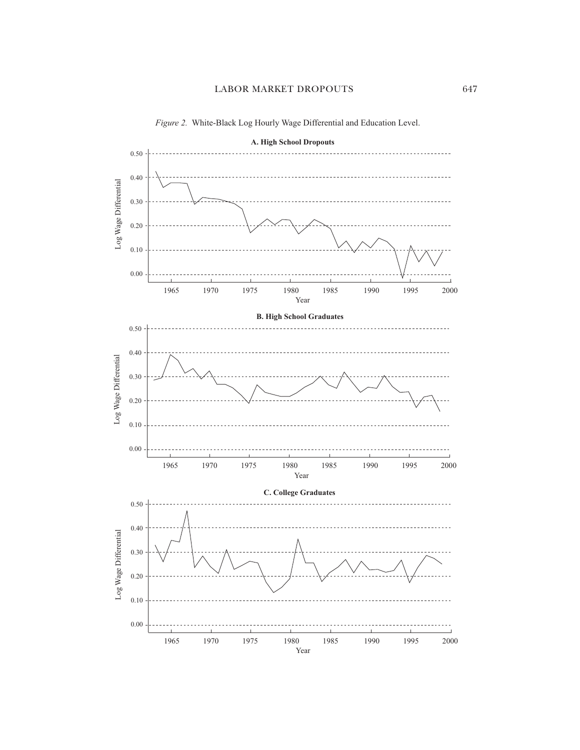

*Figure 2.* White-Black Log Hourly Wage Differential and Education Level.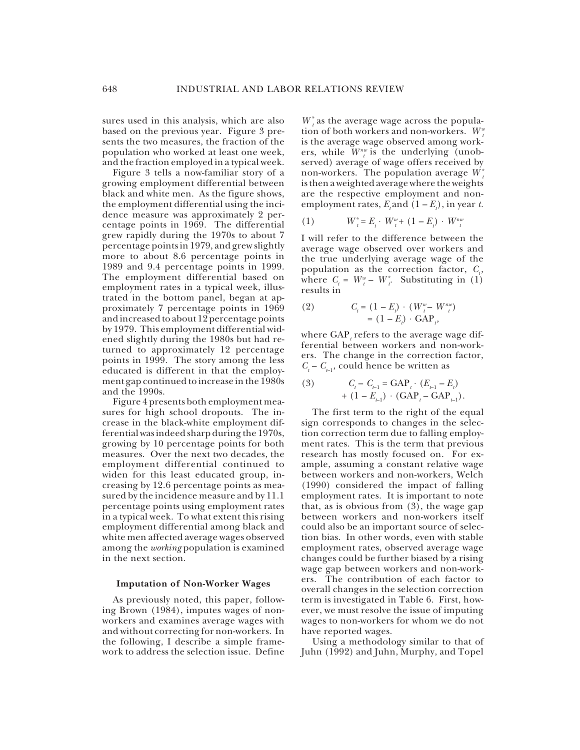sures used in this analysis, which are also based on the previous year. Figure 3 presents the two measures, the fraction of the population who worked at least one week, and the fraction employed in a typical week.

Figure 3 tells a now-familiar story of a growing employment differential between black and white men. As the figure shows, the employment differential using the incidence measure was approximately 2 percentage points in 1969. The differential grew rapidly during the 1970s to about 7 percentage points in 1979, and grew slightly more to about 8.6 percentage points in 1989 and 9.4 percentage points in 1999. The employment differential based on employment rates in a typical week, illustrated in the bottom panel, began at approximately 7 percentage points in 1969 and increased to about 12 percentage points by 1979. This employment differential widened slightly during the 1980s but had returned to approximately 12 percentage points in 1999. The story among the less educated is different in that the employment gap continued to increase in the 1980s and the 1990s.

Figure 4 presents both employment measures for high school dropouts. The increase in the black-white employment differential was indeed sharp during the 1970s, growing by 10 percentage points for both measures. Over the next two decades, the employment differential continued to widen for this least educated group, increasing by 12.6 percentage points as measured by the incidence measure and by 11.1 percentage points using employment rates in a typical week. To what extent this rising employment differential among black and white men affected average wages observed among the *working* population is examined in the next section.

#### **Imputation of Non-Worker Wages**

As previously noted, this paper, following Brown (1984), imputes wages of nonworkers and examines average wages with and without correcting for non-workers. In the following, I describe a simple framework to address the selection issue. Define

 $W_t^*$  as the average wage across the population of both workers and non-workers.  $W_t^u$ is the average wage observed among workers, while  $W^{nv}_{t}$  is the underlying (unobserved) average of wage offers received by non-workers. The population average *W \* t* is then a weighted average where the weights are the respective employment and nonemployment rates,  $E_t$  and  $(1 - E_t)$ , in year *t*.

(1) 
$$
W_t^* = E_t \cdot W_t^w + (1 - E_t) \cdot W_t^{nu}
$$

I will refer to the difference between the average wage observed over workers and the true underlying average wage of the population as the correction factor,  $C_t$ , where  $C_t = W_t^w - W_t^*$ . Substituting in (1) results in

(2) 
$$
C_{t} = (1 - E_{t}) \cdot (W_{t}^{w} - W_{t}^{nw})
$$

$$
= (1 - E_{t}) \cdot \text{GAP}_{t},
$$

where  $\text{GAP}_t$  refers to the average wage differential between workers and non-workers. The change in the correction factor,  $C_t - C_{t-1}$ , could hence be written as

(3) 
$$
C_{t} - C_{t-1} = \text{GAP}_{t} \cdot (E_{t-1} - E_{t}) + (1 - E_{t-1}) \cdot (\text{GAP}_{t} - \text{GAP}_{t-1}).
$$

The first term to the right of the equal sign corresponds to changes in the selection correction term due to falling employment rates. This is the term that previous research has mostly focused on. For example, assuming a constant relative wage between workers and non-workers, Welch (1990) considered the impact of falling employment rates. It is important to note that, as is obvious from (3), the wage gap between workers and non-workers itself could also be an important source of selection bias. In other words, even with stable employment rates, observed average wage changes could be further biased by a rising wage gap between workers and non-workers. The contribution of each factor to overall changes in the selection correction term is investigated in Table 6. First, however, we must resolve the issue of imputing wages to non-workers for whom we do not have reported wages.

Using a methodology similar to that of Juhn (1992) and Juhn, Murphy, and Topel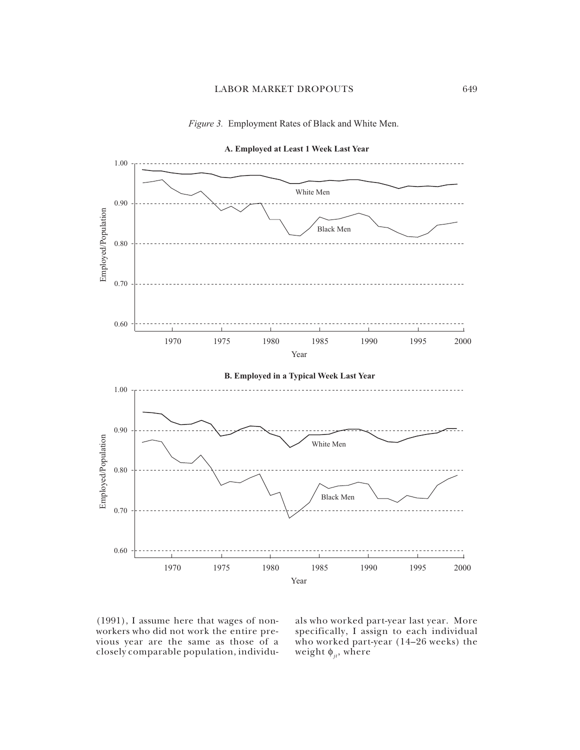



(1991), I assume here that wages of nonworkers who did not work the entire previous year are the same as those of a closely comparable population, individu-

als who worked part-year last year. More specifically, I assign to each individual who worked part-year (14–26 weeks) the weight  $\phi_{it}$ , where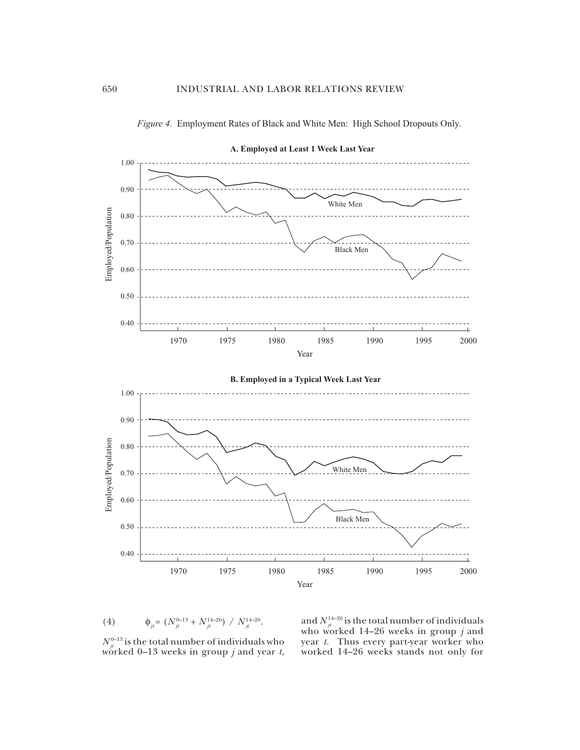



(4)  $\qquad \phi_{jt} = (N_{jt}^{0-13} + N_{jt}^{14-26}) / N_{jt}^{14-26}.$ 

and  $N_{\scriptscriptstyle{J}^t}^{\scriptscriptstyle{14-26}}$  is the total number of individuals who worked 14–26 weeks in group *j* and year *t.* Thus every part-year worker who worked 14–26 weeks stands not only for

 $N_{ji}^{0-13}$  is the total number of individuals who worked 0–13 weeks in group *j* and year *t,*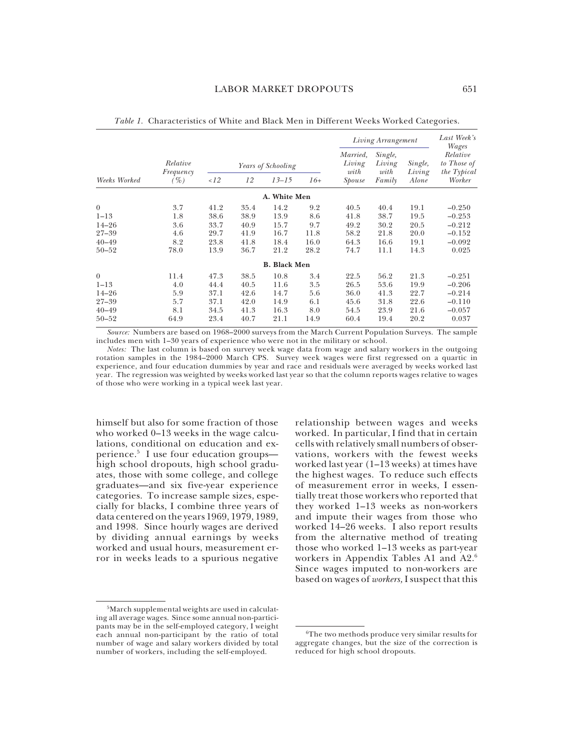|                                                                          |                                          |                                              |                                              |                                              |                                           | Living Arrangement                           |                                              |                                              | Last Week's<br>Wages                                              |  |
|--------------------------------------------------------------------------|------------------------------------------|----------------------------------------------|----------------------------------------------|----------------------------------------------|-------------------------------------------|----------------------------------------------|----------------------------------------------|----------------------------------------------|-------------------------------------------------------------------|--|
|                                                                          | Relative<br>Frequency                    |                                              | Years of Schooling                           |                                              |                                           | Married,<br>Living<br>with                   | Single,<br>Living<br>with                    | Single,<br>Living                            | Relative<br>to Those of<br>the Typical                            |  |
| Weeks Worked                                                             | $( \% )$                                 | 12                                           | 12                                           | $13 - 15$                                    | $16+$                                     | Spouse                                       | Family                                       | Alone                                        | Worker                                                            |  |
|                                                                          |                                          |                                              |                                              | A. White Men                                 |                                           |                                              |                                              |                                              |                                                                   |  |
| $\theta$<br>$1 - 13$<br>$14 - 26$<br>$27 - 39$<br>$40 - 49$<br>$50 - 52$ | 3.7<br>1.8<br>3.6<br>4.6<br>8.2<br>78.0  | 41.2<br>38.6<br>33.7<br>29.7<br>23.8<br>13.9 | 35.4<br>38.9<br>40.9<br>41.9<br>41.8<br>36.7 | 14.2<br>13.9<br>15.7<br>16.7<br>18.4<br>21.2 | 9.2<br>8.6<br>9.7<br>11.8<br>16.0<br>28.2 | 40.5<br>41.8<br>49.2<br>58.2<br>64.3<br>74.7 | 40.4<br>38.7<br>30.2<br>21.8<br>16.6<br>11.1 | 19.1<br>19.5<br>20.5<br>20.0<br>19.1<br>14.3 | $-0.250$<br>$-0.253$<br>$-0.212$<br>$-0.152$<br>$-0.092$<br>0.025 |  |
|                                                                          |                                          |                                              |                                              | <b>B.</b> Black Men                          |                                           |                                              |                                              |                                              |                                                                   |  |
| $\theta$<br>$1 - 13$<br>$14 - 26$<br>$27 - 39$<br>$40 - 49$<br>$50 - 52$ | 11.4<br>4.0<br>5.9<br>5.7<br>8.1<br>64.9 | 47.3<br>44.4<br>37.1<br>37.1<br>34.5<br>23.4 | 38.5<br>40.5<br>42.6<br>42.0<br>41.3<br>40.7 | 10.8<br>11.6<br>14.7<br>14.9<br>16.3<br>21.1 | 3.4<br>3.5<br>5.6<br>6.1<br>8.0<br>14.9   | 22.5<br>26.5<br>36.0<br>45.6<br>54.5<br>60.4 | 56.2<br>53.6<br>41.3<br>31.8<br>23.9<br>19.4 | 21.3<br>19.9<br>22.7<br>22.6<br>21.6<br>20.2 | $-0.251$<br>$-0.206$<br>$-0.214$<br>$-0.110$<br>$-0.057$<br>0.037 |  |

*Table 1.* Characteristics of White and Black Men in Different Weeks Worked Categories.

*Source:* Numbers are based on 1968–2000 surveys from the March Current Population Surveys. The sample includes men with 1–30 years of experience who were not in the military or school.

*Notes:* The last column is based on survey week wage data from wage and salary workers in the outgoing rotation samples in the 1984–2000 March CPS. Survey week wages were first regressed on a quartic in experience, and four education dummies by year and race and residuals were averaged by weeks worked last year. The regression was weighted by weeks worked last year so that the column reports wages relative to wages of those who were working in a typical week last year.

himself but also for some fraction of those who worked 0–13 weeks in the wage calculations, conditional on education and experience.5 I use four education groups high school dropouts, high school graduates, those with some college, and college graduates—and six five-year experience categories. To increase sample sizes, especially for blacks, I combine three years of data centered on the years 1969, 1979, 1989, and 1998. Since hourly wages are derived by dividing annual earnings by weeks worked and usual hours, measurement error in weeks leads to a spurious negative

relationship between wages and weeks worked. In particular, I find that in certain cells with relatively small numbers of observations, workers with the fewest weeks worked last year (1–13 weeks) at times have the highest wages. To reduce such effects of measurement error in weeks, I essentially treat those workers who reported that they worked 1–13 weeks as non-workers and impute their wages from those who worked 14–26 weeks. I also report results from the alternative method of treating those who worked 1–13 weeks as part-year workers in Appendix Tables A1 and A2.6 Since wages imputed to non-workers are based on wages of *workers,* I suspect that this

<sup>5</sup>March supplemental weights are used in calculating all average wages. Since some annual non-participants may be in the self-employed category, I weight each annual non-participant by the ratio of total number of wage and salary workers divided by total number of workers, including the self-employed.

<sup>6</sup>The two methods produce very similar results for aggregate changes, but the size of the correction is reduced for high school dropouts.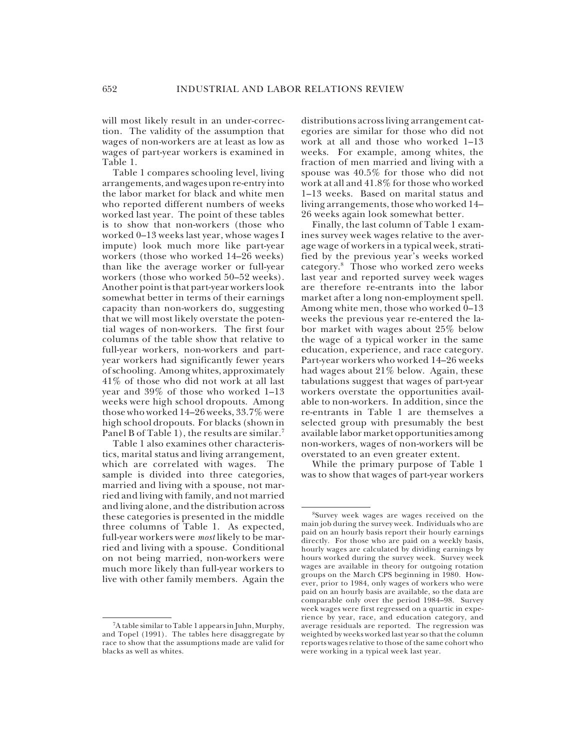will most likely result in an under-correction. The validity of the assumption that wages of non-workers are at least as low as wages of part-year workers is examined in Table 1.

Table 1 compares schooling level, living arrangements, and wages upon re-entry into the labor market for black and white men who reported different numbers of weeks worked last year. The point of these tables is to show that non-workers (those who worked 0–13 weeks last year, whose wages I impute) look much more like part-year workers (those who worked 14–26 weeks) than like the average worker or full-year workers (those who worked 50–52 weeks). Another point is that part-year workers look somewhat better in terms of their earnings capacity than non-workers do, suggesting that we will most likely overstate the potential wages of non-workers. The first four columns of the table show that relative to full-year workers, non-workers and partyear workers had significantly fewer years of schooling. Among whites, approximately 41% of those who did not work at all last year and 39% of those who worked 1–13 weeks were high school dropouts. Among those who worked 14–26 weeks, 33.7% were high school dropouts. For blacks (shown in Panel B of Table 1), the results are similar.<sup>7</sup>

Table 1 also examines other characteristics, marital status and living arrangement, which are correlated with wages. The sample is divided into three categories, married and living with a spouse, not married and living with family, and not married and living alone, and the distribution across these categories is presented in the middle three columns of Table 1. As expected, full-year workers were *most* likely to be married and living with a spouse. Conditional on not being married, non-workers were much more likely than full-year workers to live with other family members. Again the distributions across living arrangement categories are similar for those who did not work at all and those who worked 1–13 weeks. For example, among whites, the fraction of men married and living with a spouse was 40.5% for those who did not work at all and 41.8% for those who worked 1–13 weeks. Based on marital status and living arrangements, those who worked 14– 26 weeks again look somewhat better.

Finally, the last column of Table 1 examines survey week wages relative to the average wage of workers in a typical week, stratified by the previous year's weeks worked category.8 Those who worked zero weeks last year and reported survey week wages are therefore re-entrants into the labor market after a long non-employment spell. Among white men, those who worked  $0-13$ weeks the previous year re-entered the labor market with wages about 25% below the wage of a typical worker in the same education, experience, and race category. Part-year workers who worked 14–26 weeks had wages about 21% below. Again, these tabulations suggest that wages of part-year workers overstate the opportunities available to non-workers. In addition, since the re-entrants in Table 1 are themselves a selected group with presumably the best available labor market opportunities among non-workers, wages of non-workers will be overstated to an even greater extent.

While the primary purpose of Table 1 was to show that wages of part-year workers

<sup>7</sup>A table similar to Table 1 appears in Juhn, Murphy, and Topel (1991). The tables here disaggregate by race to show that the assumptions made are valid for blacks as well as whites.

<sup>8</sup>Survey week wages are wages received on the main job during the survey week. Individuals who are paid on an hourly basis report their hourly earnings directly. For those who are paid on a weekly basis, hourly wages are calculated by dividing earnings by hours worked during the survey week. Survey week wages are available in theory for outgoing rotation groups on the March CPS beginning in 1980. However, prior to 1984, only wages of workers who were paid on an hourly basis are available, so the data are comparable only over the period 1984–98. Survey week wages were first regressed on a quartic in experience by year, race, and education category, and average residuals are reported. The regression was weighted by weeks worked last year so that the column reports wages relative to those of the same cohort who were working in a typical week last year.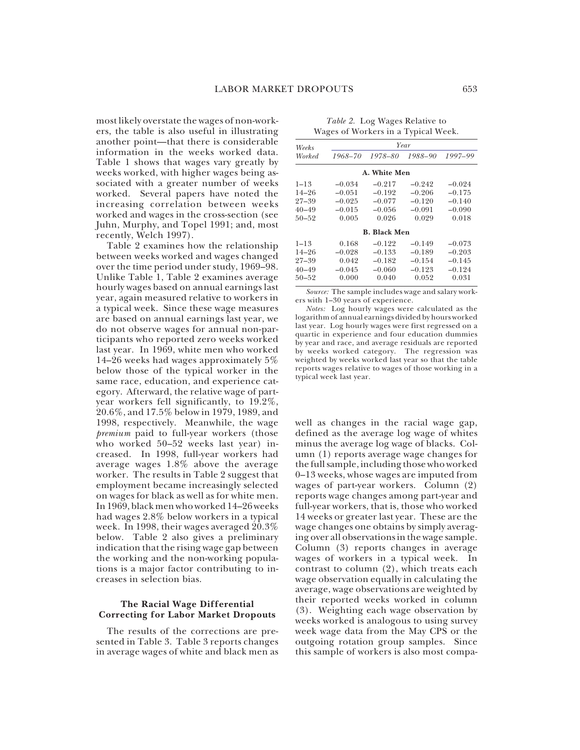most likely overstate the wages of non-workers, the table is also useful in illustrating another point—that there is considerable information in the weeks worked data. Table 1 shows that wages vary greatly by weeks worked, with higher wages being associated with a greater number of weeks worked. Several papers have noted the increasing correlation between weeks worked and wages in the cross-section (see Juhn, Murphy, and Topel 1991; and, most recently, Welch 1997).

Table 2 examines how the relationship between weeks worked and wages changed over the time period under study, 1969–98. Unlike Table 1, Table 2 examines average hourly wages based on annual earnings last year, again measured relative to workers in a typical week. Since these wage measures are based on annual earnings last year, we do not observe wages for annual non-participants who reported zero weeks worked last year. In 1969, white men who worked 14–26 weeks had wages approximately 5% below those of the typical worker in the same race, education, and experience category. Afterward, the relative wage of partyear workers fell significantly, to 19.2%, 20.6%, and 17.5% below in 1979, 1989, and 1998, respectively. Meanwhile, the wage *premium* paid to full-year workers (those who worked 50–52 weeks last year) increased. In 1998, full-year workers had average wages 1.8% above the average worker. The results in Table 2 suggest that employment became increasingly selected on wages for black as well as for white men. In 1969, black men who worked 14–26 weeks had wages 2.8% below workers in a typical week. In 1998, their wages averaged 20.3% below. Table 2 also gives a preliminary indication that the rising wage gap between the working and the non-working populations is a major factor contributing to increases in selection bias.

#### **The Racial Wage Differential Correcting for Labor Market Dropouts**

The results of the corrections are presented in Table 3. Table 3 reports changes in average wages of white and black men as

*Table 2.* Log Wages Relative to Wages of Workers in a Typical Week.

| Weeks     | Year     |                     |          |          |  |  |  |  |
|-----------|----------|---------------------|----------|----------|--|--|--|--|
| Worked    | 1968-70  | 1978-80             | 1988–90  | 1997-99  |  |  |  |  |
|           |          | A. White Men        |          |          |  |  |  |  |
| $1 - 13$  | $-0.034$ | $-0.217$            | $-0.242$ | $-0.024$ |  |  |  |  |
| $14 - 26$ | $-0.051$ | $-0.192$            | $-0.206$ | $-0.175$ |  |  |  |  |
| $27 - 39$ | $-0.025$ | $-0.077$            | $-0.120$ | $-0.140$ |  |  |  |  |
| $40 - 49$ | $-0.015$ | $-0.056$            | $-0.091$ | $-0.090$ |  |  |  |  |
| $50 - 52$ | 0.005    | 0.026               | 0.029    | 0.018    |  |  |  |  |
|           |          | <b>B.</b> Black Men |          |          |  |  |  |  |
| $1 - 13$  | 0.168    | $-0.122$            | $-0.149$ | $-0.073$ |  |  |  |  |
| $14 - 26$ | $-0.028$ | $-0.133$            | $-0.189$ | $-0.203$ |  |  |  |  |
| $27 - 39$ | 0.042    | $-0.182$            | $-0.154$ | $-0.145$ |  |  |  |  |
| $40 - 49$ | $-0.045$ | $-0.060$            | $-0.123$ | $-0.124$ |  |  |  |  |
| $50 - 52$ | 0.000    | 0.040               | 0.052    | 0.031    |  |  |  |  |

*Source:* The sample includes wage and salary workers with 1–30 years of experience.

*Notes:* Log hourly wages were calculated as the logarithm of annual earnings divided by hours worked last year. Log hourly wages were first regressed on a quartic in experience and four education dummies by year and race, and average residuals are reported by weeks worked category. The regression was weighted by weeks worked last year so that the table reports wages relative to wages of those working in a typical week last year.

well as changes in the racial wage gap, defined as the average log wage of whites minus the average log wage of blacks. Column (1) reports average wage changes for the full sample, including those who worked 0–13 weeks, whose wages are imputed from wages of part-year workers. Column (2) reports wage changes among part-year and full-year workers, that is, those who worked 14 weeks or greater last year. These are the wage changes one obtains by simply averaging over all observations in the wage sample. Column (3) reports changes in average wages of workers in a typical week. In contrast to column (2), which treats each wage observation equally in calculating the average, wage observations are weighted by their reported weeks worked in column (3). Weighting each wage observation by weeks worked is analogous to using survey week wage data from the May CPS or the outgoing rotation group samples. Since this sample of workers is also most compa-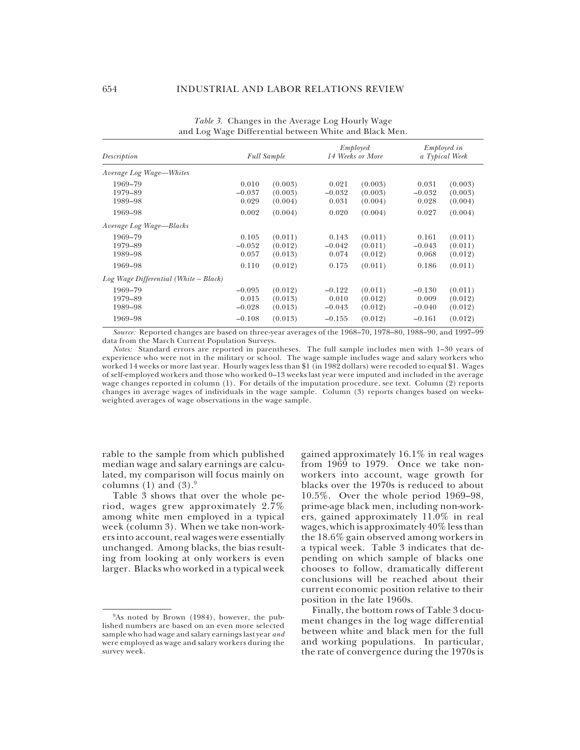| Description                              |                                           | <b>Full Sample</b>                       |                                           | Employed<br>14 Weeks or More             |                                           | <i>Employed in</i><br>a Typical Week     |  |
|------------------------------------------|-------------------------------------------|------------------------------------------|-------------------------------------------|------------------------------------------|-------------------------------------------|------------------------------------------|--|
| Average Log Wage—Whites                  |                                           |                                          |                                           |                                          |                                           |                                          |  |
| 1969-79<br>1979-89                       | 0.010<br>$-0.037$                         | (0.003)<br>(0.003)                       | 0.021<br>$-0.032$                         | (0.003)<br>(0.003)                       | 0.031<br>$-0.032$                         | (0.003)<br>(0.003)                       |  |
| 1989-98<br>1969-98                       | 0.029<br>0.002                            | (0.004)<br>(0.004)                       | 0.031<br>0.020                            | (0.004)<br>(0.004)                       | 0.028<br>0.027                            | (0.004)<br>(0.004)                       |  |
| Average Log Wage-Blacks                  |                                           |                                          |                                           |                                          |                                           |                                          |  |
| 1969-79<br>1979-89<br>1989-98            | 0.105<br>$-0.052$<br>0.057                | (0.011)<br>(0.012)<br>(0.013)            | 0.143<br>$-0.042$<br>0.074                | (0.011)<br>(0.011)<br>(0.012)            | 0.161<br>$-0.043$<br>0.068                | (0.011)<br>(0.011)<br>(0.012)            |  |
| 1969-98                                  | 0.110                                     | (0.012)                                  | 0.175                                     | (0.011)                                  | 0.186                                     | (0.011)                                  |  |
| $Log Wave Differential (White-Black)$    |                                           |                                          |                                           |                                          |                                           |                                          |  |
| 1969–79<br>1979-89<br>1989-98<br>1969-98 | $-0.095$<br>0.015<br>$-0.028$<br>$-0.108$ | (0.012)<br>(0.013)<br>(0.013)<br>(0.013) | $-0.122$<br>0.010<br>$-0.043$<br>$-0.155$ | (0.011)<br>(0.012)<br>(0.012)<br>(0.012) | $-0.130$<br>0.009<br>$-0.040$<br>$-0.161$ | (0.011)<br>(0.012)<br>(0.012)<br>(0.012) |  |

| <i>Table 3.</i> Changes in the Average Log Hourly Wage |                                                        |  |
|--------------------------------------------------------|--------------------------------------------------------|--|
|                                                        | and Log Wage Differential between White and Black Men. |  |

*Source:* Reported changes are based on three-year averages of the 1968–70, 1978–80, 1988–90, and 1997–99 data from the March Current Population Surveys.

*Notes:* Standard errors are reported in parentheses. The full sample includes men with 1–30 years of experience who were not in the military or school. The wage sample includes wage and salary workers who worked 14 weeks or more last year. Hourly wages less than \$1 (in 1982 dollars) were recoded to equal \$1. Wages of self-employed workers and those who worked 0–13 weeks last year were imputed and included in the average wage changes reported in column (1). For details of the imputation procedure, see text. Column (2) reports changes in average wages of individuals in the wage sample. Column (3) reports changes based on weeksweighted averages of wage observations in the wage sample.

rable to the sample from which published median wage and salary earnings are calculated, my comparison will focus mainly on columns (1) and  $(3).9$ 

Table 3 shows that over the whole period, wages grew approximately 2.7% among white men employed in a typical week (column 3). When we take non-workers into account, real wages were essentially unchanged. Among blacks, the bias resulting from looking at only workers is even larger. Blacks who worked in a typical week

gained approximately 16.1% in real wages from 1969 to 1979. Once we take nonworkers into account, wage growth for blacks over the 1970s is reduced to about 10.5%. Over the whole period 1969–98, prime-age black men, including non-workers, gained approximately 11.0% in real wages, which is approximately 40% less than the 18.6% gain observed among workers in a typical week. Table 3 indicates that depending on which sample of blacks one chooses to follow, dramatically different conclusions will be reached about their current economic position relative to their position in the late 1960s.

Finally, the bottom rows of Table 3 document changes in the log wage differential between white and black men for the full and working populations. In particular, the rate of convergence during the 1970s is

<sup>&</sup>lt;sup>9</sup>As noted by Brown (1984), however, the published numbers are based on an even more selected sample who had wage and salary earnings last year *and* were employed as wage and salary workers during the survey week.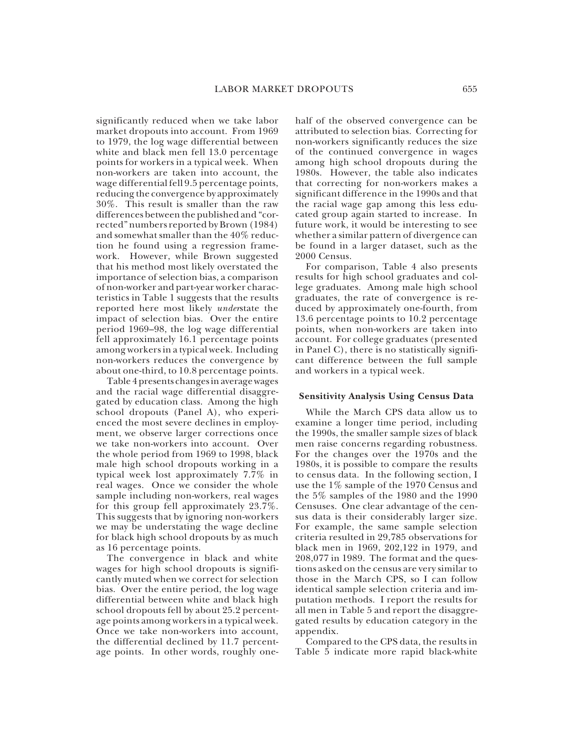significantly reduced when we take labor market dropouts into account. From 1969 to 1979, the log wage differential between white and black men fell 13.0 percentage points for workers in a typical week. When non-workers are taken into account, the wage differential fell 9.5 percentage points, reducing the convergence by approximately 30%. This result is smaller than the raw differences between the published and "corrected" numbers reported by Brown (1984) and somewhat smaller than the 40% reduction he found using a regression framework. However, while Brown suggested that his method most likely overstated the importance of selection bias, a comparison of non-worker and part-year worker characteristics in Table 1 suggests that the results reported here most likely *under*state the impact of selection bias. Over the entire period 1969–98, the log wage differential fell approximately 16.1 percentage points among workers in a typical week. Including non-workers reduces the convergence by about one-third, to 10.8 percentage points.

Table 4 presents changes in average wages and the racial wage differential disaggregated by education class. Among the high school dropouts (Panel A), who experienced the most severe declines in employment, we observe larger corrections once we take non-workers into account. Over the whole period from 1969 to 1998, black male high school dropouts working in a typical week lost approximately 7.7% in real wages. Once we consider the whole sample including non-workers, real wages for this group fell approximately 23.7%. This suggests that by ignoring non-workers we may be understating the wage decline for black high school dropouts by as much as 16 percentage points.

The convergence in black and white wages for high school dropouts is significantly muted when we correct for selection bias. Over the entire period, the log wage differential between white and black high school dropouts fell by about 25.2 percentage points among workers in a typical week. Once we take non-workers into account, the differential declined by 11.7 percentage points. In other words, roughly onehalf of the observed convergence can be attributed to selection bias. Correcting for non-workers significantly reduces the size of the continued convergence in wages among high school dropouts during the 1980s. However, the table also indicates that correcting for non-workers makes a significant difference in the 1990s and that the racial wage gap among this less educated group again started to increase. In future work, it would be interesting to see whether a similar pattern of divergence can be found in a larger dataset, such as the 2000 Census.

For comparison, Table 4 also presents results for high school graduates and college graduates. Among male high school graduates, the rate of convergence is reduced by approximately one-fourth, from 13.6 percentage points to 10.2 percentage points, when non-workers are taken into account. For college graduates (presented in Panel C), there is no statistically significant difference between the full sample and workers in a typical week.

#### **Sensitivity Analysis Using Census Data**

While the March CPS data allow us to examine a longer time period, including the 1990s, the smaller sample sizes of black men raise concerns regarding robustness. For the changes over the 1970s and the 1980s, it is possible to compare the results to census data. In the following section, I use the 1% sample of the 1970 Census and the 5% samples of the 1980 and the 1990 Censuses. One clear advantage of the census data is their considerably larger size. For example, the same sample selection criteria resulted in 29,785 observations for black men in 1969, 202,122 in 1979, and 208,077 in 1989. The format and the questions asked on the census are very similar to those in the March CPS, so I can follow identical sample selection criteria and imputation methods. I report the results for all men in Table 5 and report the disaggregated results by education category in the appendix.

Compared to the CPS data, the results in Table 5 indicate more rapid black-white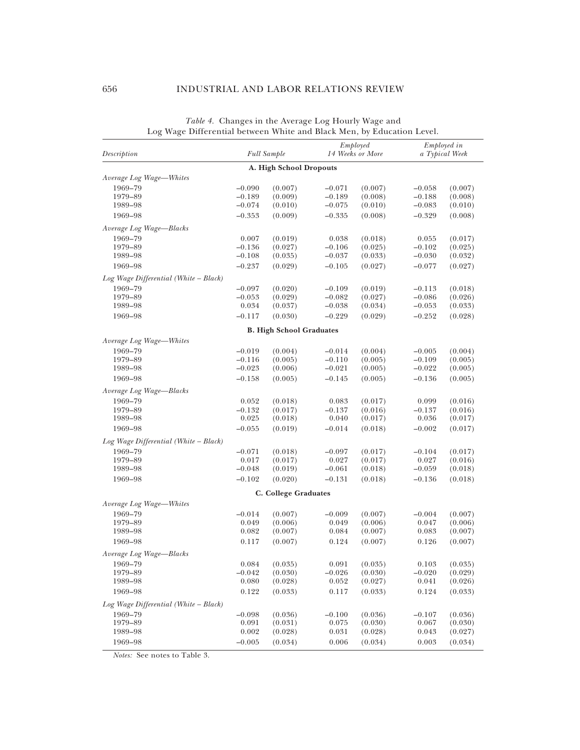#### 656 INDUSTRIAL AND LABOR RELATIONS REVIEW

| Description                           |                         | <b>Full Sample</b>              | Employed<br>14 Weeks or More |                    | Employed in<br>a Typical Week |                    |
|---------------------------------------|-------------------------|---------------------------------|------------------------------|--------------------|-------------------------------|--------------------|
|                                       |                         | A. High School Dropouts         |                              |                    |                               |                    |
| Average Log Wage-Whites               |                         |                                 |                              |                    |                               |                    |
| 1969-79                               | $-0.090$                | (0.007)                         | $-0.071$                     | (0.007)            | $-0.058$                      | (0.007)            |
| 1979-89                               | $-0.189$                | (0.009)                         | $-0.189$                     | (0.008)            | $-0.188$                      | (0.008)            |
| 1989-98                               | $-0.074$                | (0.010)                         | $-0.075$                     | (0.010)            | $-0.083$                      | (0.010)            |
| 1969-98                               | $-0.353$                | (0.009)                         | $-0.335$                     | (0.008)            | $-0.329$                      | (0.008)            |
| Average Log Wage-Blacks               |                         |                                 |                              |                    |                               |                    |
| 1969-79                               | 0.007                   | (0.019)                         | 0.038                        | (0.018)            | 0.055                         | (0.017)            |
| 1979-89                               | $-0.136$                | (0.027)                         | $-0.106$                     | (0.025)            | $-0.102$                      | (0.025)            |
| 1989-98                               | $-0.108$                | (0.035)                         | $-0.037$                     | (0.033)            | $-0.030$                      | (0.032)            |
| 1969-98                               | $-0.237$                | (0.029)                         | $-0.105$                     | (0.027)            | $-0.077$                      | (0.027)            |
| Log Wage Differential (White - Black) |                         |                                 |                              |                    |                               |                    |
| 1969-79                               | $-0.097$                | (0.020)                         | $-0.109$                     | (0.019)            | $-0.113$                      | (0.018)            |
| 1979-89                               | $-0.053$                | (0.029)                         | $-0.082$                     | (0.027)            | $-0.086$                      | (0.026)            |
| 1989-98                               | 0.034                   | (0.037)                         | $-0.038$                     | (0.034)            | $-0.053$                      | (0.033)            |
| 1969-98                               | $-0.117$                | (0.030)                         | $-0.229$                     | (0.029)            | $-0.252$                      | (0.028)            |
|                                       |                         | <b>B. High School Graduates</b> |                              |                    |                               |                    |
| Average Log Wage-Whites               |                         |                                 |                              |                    |                               |                    |
| 1969-79                               | $-0.019$                | (0.004)                         | $-0.014$                     | (0.004)            | $-0.005$                      | (0.004)            |
| 1979-89                               | $-0.116$                | (0.005)                         | $-0.110$                     | (0.005)            | $-0.109$                      | (0.005)            |
| 1989-98                               | $-0.023$                | (0.006)                         | $-0.021$                     | (0.005)            | $-0.022$                      | (0.005)            |
| 1969-98                               | $-0.158$                | (0.005)                         | $-0.145$                     | (0.005)            | $-0.136$                      | (0.005)            |
| Average Log Wage-Blacks               |                         |                                 |                              |                    |                               |                    |
| 1969-79                               | 0.052                   | (0.018)                         | 0.083                        | (0.017)            | 0.099                         | (0.016)            |
| 1979-89                               | $-0.132$                | (0.017)                         | $-0.137$                     | (0.016)            | $-0.137$                      | (0.016)            |
| 1989–98                               | 0.025                   | (0.018)                         | 0.040                        | (0.017)            | 0.036                         | (0.017)            |
| 1969-98                               | $-0.055$                | (0.019)                         | $-0.014$                     | (0.018)            | $-0.002$                      | (0.017)            |
| Log Wage Differential (White - Black) |                         |                                 |                              |                    |                               |                    |
| 1969-79                               |                         |                                 |                              |                    |                               |                    |
| 1979-89                               | $-0.071$<br>0.017       | (0.018)<br>(0.017)              | $-0.097$<br>0.027            | (0.017)<br>(0.017) | $-0.104$<br>0.027             | (0.017)<br>(0.016) |
| 1989-98                               | $-0.048$                | (0.019)                         | $-0.061$                     | (0.018)            | $-0.059$                      | (0.018)            |
| 1969-98                               | $-0.102$                | (0.020)                         | $-0.131$                     | (0.018)            | $-0.136$                      | (0.018)            |
|                                       |                         |                                 |                              |                    |                               |                    |
| Average Log Wage-Whites               |                         | C. College Graduates            |                              |                    |                               |                    |
|                                       |                         |                                 |                              |                    |                               |                    |
| 1969-79<br>1979-89                    | $-0.014$<br>0.049       | (0.007)<br>(0.006)              | $-0.009$<br>0.049            | (0.007)<br>(0.006) | $-0.004$<br>0.047             | (0.007)<br>(0.006) |
| 1989-98                               | 0.082                   | (0.007)                         | 0.084                        | (0.007)            | 0.083                         | (0.007)            |
| 1969-98                               | 0.117                   | (0.007)                         | 0.124                        | (0.007)            | 0.126                         | (0.007)            |
|                                       |                         |                                 |                              |                    |                               |                    |
| Average Log Wage—Blacks<br>1969-79    |                         |                                 |                              |                    |                               |                    |
| 1979–89                               | $\,0.084\,$<br>$-0.042$ | (0.035)<br>(0.030)              | 0.091<br>$-0.026$            | (0.035)<br>(0.030) | 0.103<br>$-0.020$             | (0.035)<br>(0.029) |
| 1989-98                               | 0.080                   | (0.028)                         | 0.052                        | (0.027)            | 0.041                         | (0.026)            |
| 1969-98                               | 0.122                   | (0.033)                         | 0.117                        | (0.033)            | 0.124                         | (0.033)            |
| Log Wage Differential (White - Black) |                         |                                 |                              |                    |                               |                    |
|                                       | $-0.098$                |                                 |                              |                    |                               |                    |
| 1969-79<br>1979-89                    | 0.091                   | (0.036)<br>(0.031)              | $-0.100$<br>0.075            | (0.036)<br>(0.030) | $-0.107$<br>0.067             | (0.036)<br>(0.030) |
| 1989-98                               | 0.002                   | (0.028)                         | 0.031                        | (0.028)            | 0.043                         | (0.027)            |
| 1969-98                               | $-0.005$                | (0.034)                         | 0.006                        | (0.034)            | 0.003                         | (0.034)            |
|                                       |                         |                                 |                              |                    |                               |                    |

*Table 4.* Changes in the Average Log Hourly Wage and Log Wage Differential between White and Black Men, by Education Level.

*Notes:* See notes to Table 3.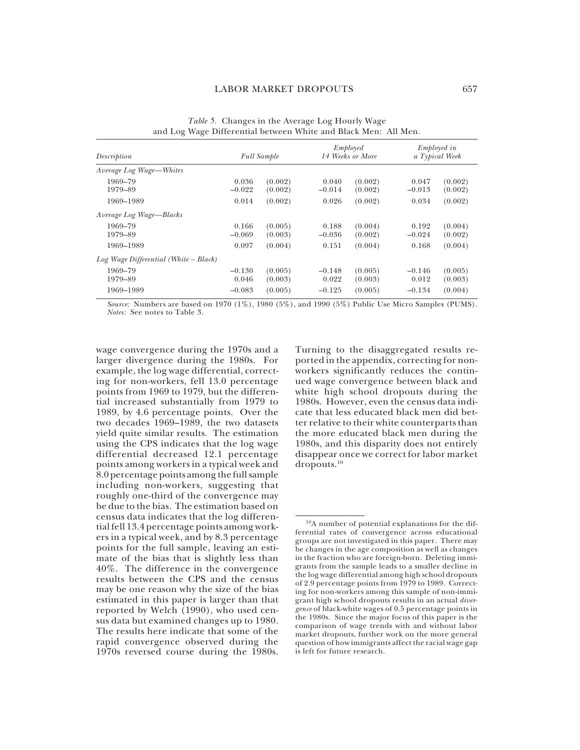| Description                           | <b>Full Sample</b> |                    | Employed<br>14 Weeks or More |                    | <i>Employed in</i><br>a Typical Week |                    |
|---------------------------------------|--------------------|--------------------|------------------------------|--------------------|--------------------------------------|--------------------|
| Average Log Wage-Whites               |                    |                    |                              |                    |                                      |                    |
| 1969-79<br>1979-89                    | 0.036<br>$-0.022$  | (0.002)<br>(0.002) | 0.040<br>$-0.014$            | (0.002)<br>(0.002) | 0.047<br>$-0.013$                    | (0.002)<br>(0.002) |
| 1969-1989                             | 0.014              | (0.002)            | 0.026                        | (0.002)            | 0.034                                | (0.002)            |
| Average Log Wage-Blacks               |                    |                    |                              |                    |                                      |                    |
| 1969-79<br>1979-89                    | 0.166<br>$-0.069$  | (0.005)<br>(0.003) | 0.188<br>$-0.036$            | (0.004)<br>(0.002) | 0.192<br>$-0.024$                    | (0.004)<br>(0.002) |
| 1969-1989                             | 0.097              | (0.004)            | 0.151                        | (0.004)            | 0.168                                | (0.004)            |
| $Log Wave Differential (White-Black)$ |                    |                    |                              |                    |                                      |                    |
| 1969-79<br>1979-89                    | $-0.130$<br>0.046  | (0.005)<br>(0.003) | $-0.148$<br>0.022            | (0.005)<br>(0.003) | $-0.146$<br>0.012                    | (0.005)<br>(0.003) |
| 1969-1989                             | $-0.083$           | (0.005)            | $-0.125$                     | (0.005)            | $-0.134$                             | (0.004)            |

*Table 5.* Changes in the Average Log Hourly Wage and Log Wage Differential between White and Black Men: All Men.

*Source:* Numbers are based on 1970 (1%), 1980 (5%), and 1990 (5%) Public Use Micro Samples (PUMS). *Notes:* See notes to Table 3.

wage convergence during the 1970s and a larger divergence during the 1980s. For example, the log wage differential, correcting for non-workers, fell 13.0 percentage points from 1969 to 1979, but the differential increased substantially from 1979 to 1989, by 4.6 percentage points. Over the two decades 1969–1989, the two datasets yield quite similar results. The estimation using the CPS indicates that the log wage differential decreased 12.1 percentage points among workers in a typical week and 8.0 percentage points among the full sample including non-workers, suggesting that roughly one-third of the convergence may be due to the bias. The estimation based on census data indicates that the log differential fell 13.4 percentage points among workers in a typical week, and by 8.3 percentage points for the full sample, leaving an estimate of the bias that is slightly less than 40%. The difference in the convergence results between the CPS and the census may be one reason why the size of the bias estimated in this paper is larger than that reported by Welch (1990), who used census data but examined changes up to 1980. The results here indicate that some of the rapid convergence observed during the 1970s reversed course during the 1980s.

Turning to the disaggregated results reported in the appendix, correcting for nonworkers significantly reduces the continued wage convergence between black and white high school dropouts during the 1980s. However, even the census data indicate that less educated black men did better relative to their white counterparts than the more educated black men during the 1980s, and this disparity does not entirely disappear once we correct for labor market dropouts.10

<sup>10</sup>A number of potential explanations for the differential rates of convergence across educational groups are not investigated in this paper. There may be changes in the age composition as well as changes in the fraction who are foreign-born. Deleting immigrants from the sample leads to a smaller decline in the log wage differential among high school dropouts of 2.9 percentage points from 1979 to 1989. Correcting for non-workers among this sample of non-immigrant high school dropouts results in an actual *divergence* of black-white wages of 0.5 percentage points in the 1980s. Since the major focus of this paper is the comparison of wage trends with and without labor market dropouts, further work on the more general question of how immigrants affect the racial wage gap is left for future research.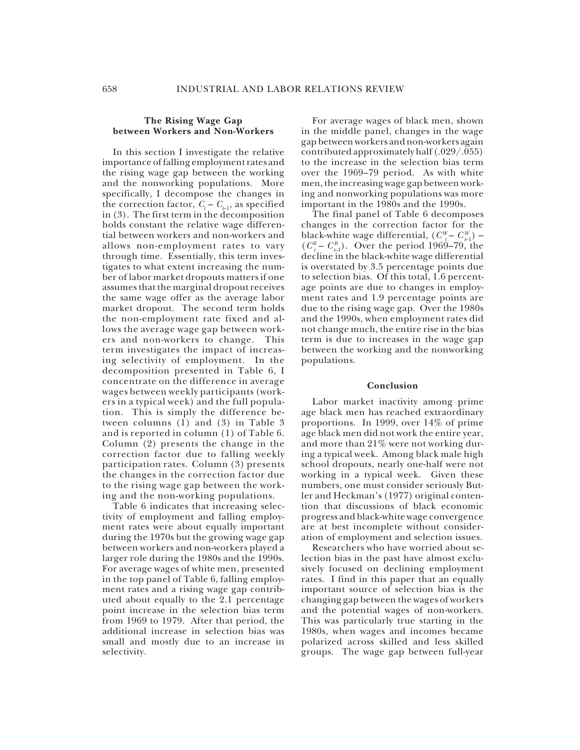#### **The Rising Wage Gap between Workers and Non-Workers**

In this section I investigate the relative importance of falling employment rates and the rising wage gap between the working and the nonworking populations. More specifically, I decompose the changes in the correction factor,  $C_t - C_{t-1}$ , as specified in (3). The first term in the decomposition holds constant the relative wage differential between workers and non-workers and allows non-employment rates to vary through time. Essentially, this term investigates to what extent increasing the number of labor market dropouts matters if one assumes that the marginal dropout receives the same wage offer as the average labor market dropout. The second term holds the non-employment rate fixed and allows the average wage gap between workers and non-workers to change. This term investigates the impact of increasing selectivity of employment. In the decomposition presented in Table 6, I concentrate on the difference in average wages between weekly participants (workers in a typical week) and the full population. This is simply the difference between columns  $(1)$  and  $(3)$  in Table 3 and is reported in column (1) of Table 6. Column (2) presents the change in the correction factor due to falling weekly participation rates. Column (3) presents the changes in the correction factor due to the rising wage gap between the working and the non-working populations.

Table 6 indicates that increasing selectivity of employment and falling employment rates were about equally important during the 1970s but the growing wage gap between workers and non-workers played a larger role during the 1980s and the 1990s. For average wages of white men, presented in the top panel of Table 6, falling employment rates and a rising wage gap contributed about equally to the 2.1 percentage point increase in the selection bias term from 1969 to 1979. After that period, the additional increase in selection bias was small and mostly due to an increase in selectivity.

For average wages of black men, shown in the middle panel, changes in the wage gap between workers and non-workers again contributed approximately half (.029/.055) to the increase in the selection bias term over the 1969–79 period. As with white men, the increasing wage gap between working and nonworking populations was more important in the 1980s and the 1990s.

The final panel of Table 6 decomposes changes in the correction factor for the black-white wage differential,  $(C_{t}^{W} - C_{t-1}^{W})$  –  $(C_{t}^{B} - C_{t-1}^{B})$ . Over the period 1969–79, the decline in the black-white wage differential is overstated by 3.5 percentage points due to selection bias. Of this total, 1.6 percentage points are due to changes in employment rates and 1.9 percentage points are due to the rising wage gap. Over the 1980s and the 1990s, when employment rates did not change much, the entire rise in the bias term is due to increases in the wage gap between the working and the nonworking populations.

#### **Conclusion**

Labor market inactivity among prime age black men has reached extraordinary proportions. In 1999, over 14% of prime age black men did not work the entire year, and more than 21% were not working during a typical week. Among black male high school dropouts, nearly one-half were not working in a typical week. Given these numbers, one must consider seriously Butler and Heckman's (1977) original contention that discussions of black economic progress and black-white wage convergence are at best incomplete without consideration of employment and selection issues.

Researchers who have worried about selection bias in the past have almost exclusively focused on declining employment rates. I find in this paper that an equally important source of selection bias is the changing gap between the wages of workers and the potential wages of non-workers. This was particularly true starting in the 1980s, when wages and incomes became polarized across skilled and less skilled groups. The wage gap between full-year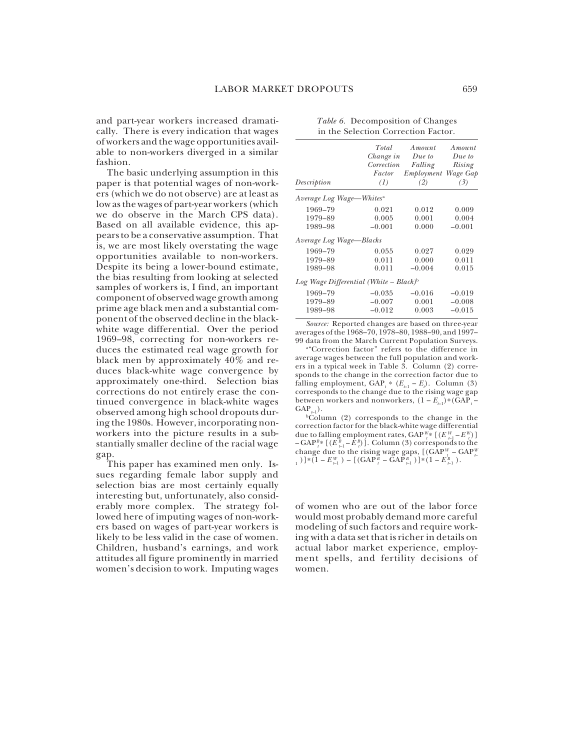and part-year workers increased dramatically. There is every indication that wages of workers and the wage opportunities available to non-workers diverged in a similar fashion.

The basic underlying assumption in this paper is that potential wages of non-workers (which we do not observe) are at least as low as the wages of part-year workers (which we do observe in the March CPS data). Based on all available evidence, this appears to be a conservative assumption. That is, we are most likely overstating the wage opportunities available to non-workers. Despite its being a lower-bound estimate, the bias resulting from looking at selected samples of workers is, I find, an important component of observed wage growth among prime age black men and a substantial component of the observed decline in the blackwhite wage differential. Over the period 1969–98, correcting for non-workers reduces the estimated real wage growth for black men by approximately 40% and reduces black-white wage convergence by approximately one-third. Selection bias corrections do not entirely erase the continued convergence in black-white wages observed among high school dropouts during the 1980s. However, incorporating nonworkers into the picture results in a substantially smaller decline of the racial wage gap.

This paper has examined men only. Issues regarding female labor supply and selection bias are most certainly equally interesting but, unfortunately, also considerably more complex. The strategy followed here of imputing wages of non-workers based on wages of part-year workers is likely to be less valid in the case of women. Children, husband's earnings, and work attitudes all figure prominently in married women's decision to work. Imputing wages

| Description                                        | Total<br>Change in<br>Correction<br>Factor<br>(1) | Amount<br>Due to<br>Falling<br>Employment Wage Gap<br>(2) | Amount<br>Due to<br>Rising<br>(3) |
|----------------------------------------------------|---------------------------------------------------|-----------------------------------------------------------|-----------------------------------|
| Average Log Wage—Whites <sup>a</sup>               |                                                   |                                                           |                                   |
| 1969-79                                            | 0.021                                             | 0.012                                                     | 0.009                             |
| 1979-89                                            | 0.005                                             | 0.001                                                     | 0.004                             |
| 1989-98                                            | $-0.001$                                          | 0.000                                                     | $-0.001$                          |
| Average Log Wage-Blacks                            |                                                   |                                                           |                                   |
| 1969-79                                            | 0.055                                             | 0.027                                                     | 0.029                             |
| 1979-89                                            | 0.011                                             | 0.000                                                     | 0.011                             |
| 1989-98                                            | 0.011                                             | $-0.004$                                                  | 0.015                             |
| Log Wage Differential (White - Black) <sup>b</sup> |                                                   |                                                           |                                   |
| 1969-79                                            | $-0.035$                                          | $-0.016$                                                  | $-0.019$                          |
| 1979-89                                            | $-0.007$                                          | 0.001                                                     | $-0.008$                          |
| 1989-98                                            | $-0.012$                                          | 0.003                                                     | $-0.015$                          |
|                                                    |                                                   |                                                           |                                   |

*Table 6.* Decomposition of Changes in the Selection Correction Factor.

*Source:* Reported changes are based on three-year averages of the 1968–70, 1978–80, 1988–90, and 1997– 99 data from the March Current Population Surveys.

a "Correction factor" refers to the difference in average wages between the full population and workers in a typical week in Table 3. Column (2) corresponds to the change in the correction factor due to falling employment,  $\text{GAP}_t * (E_{t-1} - E_t)$ . Column (3) corresponds to the change due to the rising wage gap between workers and nonworkers,  $(1 - E_{t-1}) * (GAP_t GAP_{t-1}$ ).<br><sup>b</sup>Column (2) corresponds to the change in the

correction factor for the black-white wage differential due to falling employment rates,  $GAP^{W*}_{t}$  [ $(E^{W}_{t-1} - E^{W}_{t})$ ] − GAP<sup>*B*</sup><sup>∗</sup> [( $E$ <sup>*B*</sup><sub>*t*−1</sub> −  $E$ <sup>*B*</sup><sub>*t*</sub>)</sub>]. Column (3) corresponds to the change due to the rising wage gaps,  $[(\text{GAP}_{t}^{W} - \text{GAP}_{t}^{W}]$ *t*  $\begin{bmatrix} 1 \end{bmatrix}$   $*$   $(1 - E_{t-1}^W) - [(GAP_t^B - \tilde{G}AP_{t-1}^B)] * (1 - E_{t-1}^B).$ 

of women who are out of the labor force would most probably demand more careful modeling of such factors and require working with a data set that is richer in details on actual labor market experience, employment spells, and fertility decisions of women.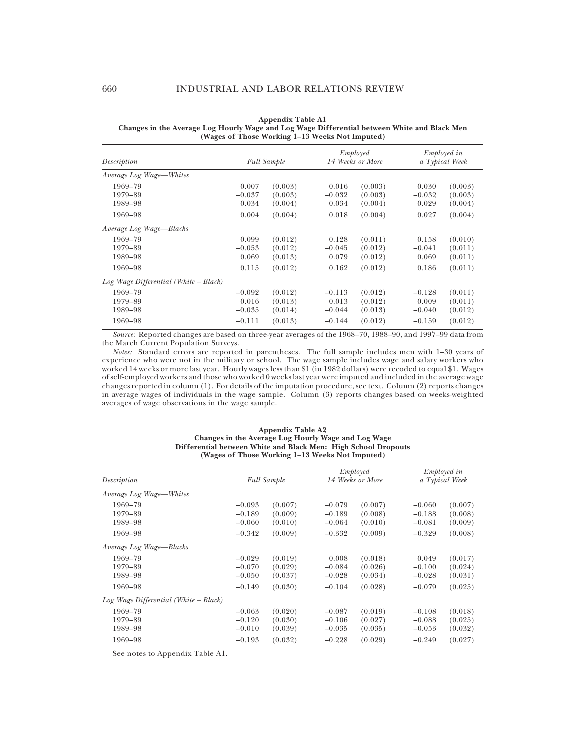| Description                           | <b>Full Sample</b>            |                               | Employed<br>14 Weeks or More  |                               | <i>Employed in</i><br>a Typical Week |                               |
|---------------------------------------|-------------------------------|-------------------------------|-------------------------------|-------------------------------|--------------------------------------|-------------------------------|
| Average Log Wage-Whites               |                               |                               |                               |                               |                                      |                               |
| 1969–79<br>1979-89<br>1989-98         | 0.007<br>$-0.037$<br>0.034    | (0.003)<br>(0.003)<br>(0.004) | 0.016<br>$-0.032$<br>0.034    | (0.003)<br>(0.003)<br>(0.004) | 0.030<br>$-0.032$<br>0.029           | (0.003)<br>(0.003)<br>(0.004) |
| 1969–98                               | 0.004                         | (0.004)                       | 0.018                         | (0.004)                       | 0.027                                | (0.004)                       |
| Average Log Wage—Blacks               |                               |                               |                               |                               |                                      |                               |
| 1969–79<br>1979-89<br>1989-98         | 0.099<br>$-0.053$<br>0.069    | (0.012)<br>(0.012)<br>(0.013) | 0.128<br>$-0.045$<br>0.079    | (0.011)<br>(0.012)<br>(0.012) | 0.158<br>$-0.041$<br>0.069           | (0.010)<br>(0.011)<br>(0.011) |
| 1969–98                               | 0.115                         | (0.012)                       | 0.162                         | (0.012)                       | 0.186                                | (0.011)                       |
| Log Wage Differential (White – Black) |                               |                               |                               |                               |                                      |                               |
| 1969-79<br>1979-89<br>1989-98         | $-0.092$<br>0.016<br>$-0.035$ | (0.012)<br>(0.013)<br>(0.014) | $-0.113$<br>0.013<br>$-0.044$ | (0.012)<br>(0.012)<br>(0.013) | $-0.128$<br>0.009<br>$-0.040$        | (0.011)<br>(0.011)<br>(0.012) |
| 1969–98                               | $-0.111$                      | (0.013)                       | $-0.144$                      | (0.012)                       | $-0.159$                             | (0.012)                       |

**Appendix Table A1 Changes in the Average Log Hourly Wage and Log Wage Differential between White and Black Men (Wages of Those Working 1–13 Weeks Not Imputed)**

*Source:* Reported changes are based on three-year averages of the 1968–70, 1988–90, and 1997–99 data from the March Current Population Surveys.

*Notes:* Standard errors are reported in parentheses. The full sample includes men with 1–30 years of experience who were not in the military or school. The wage sample includes wage and salary workers who worked 14 weeks or more last year. Hourly wages less than \$1 (in 1982 dollars) were recoded to equal \$1. Wages of self-employed workers and those who worked 0 weeks last year were imputed and included in the average wage changes reported in column (1). For details of the imputation procedure, see text. Column (2) reports changes in average wages of individuals in the wage sample. Column (3) reports changes based on weeks-weighted averages of wage observations in the wage sample.

#### **Appendix Table A2 Changes in the Average Log Hourly Wage and Log Wage Differential between White and Black Men: High School Dropouts (Wages of Those Working 1–13 Weeks Not Imputed)**

|                                       |                    |         | Employed         |         | <i>Employed in</i> |         |
|---------------------------------------|--------------------|---------|------------------|---------|--------------------|---------|
| Description                           | <b>Full Sample</b> |         | 14 Weeks or More |         | a Typical Week     |         |
| Average Log Wage—Whites               |                    |         |                  |         |                    |         |
| 1969-79                               | $-0.093$           | (0.007) | $-0.079$         | (0.007) | $-0.060$           | (0.007) |
| 1979-89                               | $-0.189$           | (0.009) | $-0.189$         | (0.008) | $-0.188$           | (0.008) |
| 1989-98                               | $-0.060$           | (0.010) | $-0.064$         | (0.010) | $-0.081$           | (0.009) |
| 1969–98                               | $-0.342$           | (0.009) | $-0.332$         | (0.009) | $-0.329$           | (0.008) |
| Average Log Wage-Blacks               |                    |         |                  |         |                    |         |
| 1969–79                               | $-0.029$           | (0.019) | 0.008            | (0.018) | 0.049              | (0.017) |
| 1979-89                               | $-0.070$           | (0.029) | $-0.084$         | (0.026) | $-0.100$           | (0.024) |
| 1989-98                               | $-0.050$           | (0.037) | $-0.028$         | (0.034) | $-0.028$           | (0.031) |
| 1969–98                               | $-0.149$           | (0.030) | $-0.104$         | (0.028) | $-0.079$           | (0.025) |
| $Log Wave Differential (White-Black)$ |                    |         |                  |         |                    |         |
| 1969–79                               | $-0.063$           | (0.020) | $-0.087$         | (0.019) | $-0.108$           | (0.018) |
| 1979-89                               | $-0.120$           | (0.030) | $-0.106$         | (0.027) | $-0.088$           | (0.025) |
| 1989-98                               | $-0.010$           | (0.039) | $-0.035$         | (0.035) | $-0.053$           | (0.032) |
| 1969–98                               | $-0.193$           | (0.032) | $-0.228$         | (0.029) | $-0.249$           | (0.027) |

See notes to Appendix Table A1.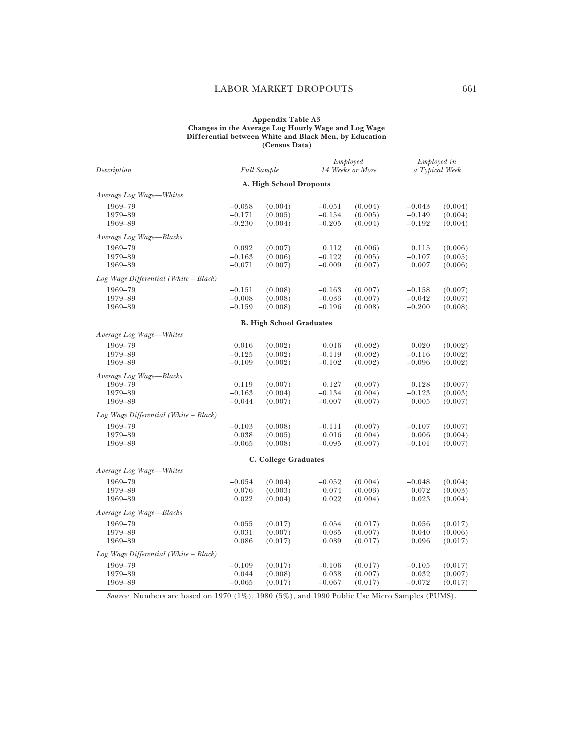#### LABOR MARKET DROPOUTS 661

#### **Appendix Table A3 Changes in the Average Log Hourly Wage and Log Wage Differential between White and Black Men, by Education (Census Data)**

| Description                             |          | <b>Full Sample</b>              | Employed<br>14 Weeks or More |         | <i>Employed in</i><br>a Typical Week |         |
|-----------------------------------------|----------|---------------------------------|------------------------------|---------|--------------------------------------|---------|
|                                         |          | A. High School Dropouts         |                              |         |                                      |         |
| Average Log Wage-Whites                 |          |                                 |                              |         |                                      |         |
| 1969-79                                 | $-0.058$ | (0.004)                         | $-0.051$                     | (0.004) | $-0.043$                             | (0.004) |
| 1979-89                                 | $-0.171$ | (0.005)                         | $-0.154$                     | (0.005) | $-0.149$                             | (0.004) |
| 1969-89                                 | $-0.230$ | (0.004)                         | $-0.205$                     | (0.004) | $-0.192$                             | (0.004) |
| Average Log Wage-Blacks                 |          |                                 |                              |         |                                      |         |
| 1969-79                                 | 0.092    | (0.007)                         | 0.112                        | (0.006) | 0.115                                | (0.006) |
| 1979-89                                 | $-0.163$ | (0.006)                         | $-0.122$                     | (0.005) | $-0.107$                             | (0.005) |
| 1969-89                                 | $-0.071$ | (0.007)                         | $-0.009$                     | (0.007) | 0.007                                | (0.006) |
| $Log Wage$ Differential (White – Black) |          |                                 |                              |         |                                      |         |
| 1969-79                                 | $-0.151$ | (0.008)                         | $-0.163$                     | (0.007) | $-0.158$                             | (0.007) |
| 1979-89                                 | $-0.008$ | (0.008)                         | $-0.033$                     | (0.007) | $-0.042$                             | (0.007) |
| 1969-89                                 | $-0.159$ | (0.008)                         | $-0.196$                     | (0.008) | $-0.200$                             | (0.008) |
|                                         |          | <b>B. High School Graduates</b> |                              |         |                                      |         |
| Average Log Wage-Whites                 |          |                                 |                              |         |                                      |         |
| 1969-79                                 | 0.016    | (0.002)                         | 0.016                        | (0.002) | 0.020                                | (0.002) |
| 1979-89                                 | $-0.125$ | (0.002)                         | $-0.119$                     | (0.002) | $-0.116$                             | (0.002) |
| 1969-89                                 | $-0.109$ | (0.002)                         | $-0.102$                     | (0.002) | $-0.096$                             | (0.002) |
| Average Log Wage-Blacks                 |          |                                 |                              |         |                                      |         |
| 1969-79                                 | 0.119    | (0.007)                         | 0.127                        | (0.007) | 0.128                                | (0.007) |
| 1979-89                                 | $-0.163$ | (0.004)                         | $-0.134$                     | (0.004) | $-0.123$                             | (0.003) |
| 1969-89                                 | $-0.044$ | (0.007)                         | $-0.007$                     | (0.007) | 0.005                                | (0.007) |
| $Log Wage$ Differential (White – Black) |          |                                 |                              |         |                                      |         |
| 1969-79                                 | $-0.103$ | (0.008)                         | $-0.111$                     | (0.007) | $-0.107$                             | (0.007) |
| 1979-89                                 | 0.038    | (0.005)                         | 0.016                        | (0.004) | 0.006                                | (0.004) |
| 1969-89                                 | $-0.065$ | (0.008)                         | $-0.095$                     | (0.007) | $-0.101$                             | (0.007) |
|                                         |          | C. College Graduates            |                              |         |                                      |         |
| Average Log Wage-Whites                 |          |                                 |                              |         |                                      |         |
| 1969-79                                 | $-0.054$ | (0.004)                         | $-0.052$                     | (0.004) | $-0.048$                             | (0.004) |
| 1979-89                                 | 0.076    | (0.003)                         | 0.074                        | (0.003) | 0.072                                | (0.003) |
| 1969-89                                 | 0.022    | (0.004)                         | 0.022                        | (0.004) | 0.023                                | (0.004) |
| Average Log Wage-Blacks                 |          |                                 |                              |         |                                      |         |
| 1969-79                                 | 0.055    | (0.017)                         | 0.054                        | (0.017) | 0.056                                | (0.017) |
| 1979-89                                 | 0.031    | (0.007)                         | 0.035                        | (0.007) | 0.040                                | (0.006) |
| 1969-89                                 | 0.086    | (0.017)                         | 0.089                        | (0.017) | 0.096                                | (0.017) |
| Log Wage Differential (White – Black)   |          |                                 |                              |         |                                      |         |
| 1969-79                                 | $-0.109$ | (0.017)                         | $-0.106$                     | (0.017) | $-0.105$                             | (0.017) |
| 1979-89                                 | 0.044    | (0.008)                         | 0.038                        | (0.007) | 0.032                                | (0.007) |
| 1969-89                                 | $-0.065$ | (0.017)                         | $-0.067$                     | (0.017) | $-0.072$                             | (0.017) |

*Source:* Numbers are based on 1970 (1%), 1980 (5%), and 1990 Public Use Micro Samples (PUMS).